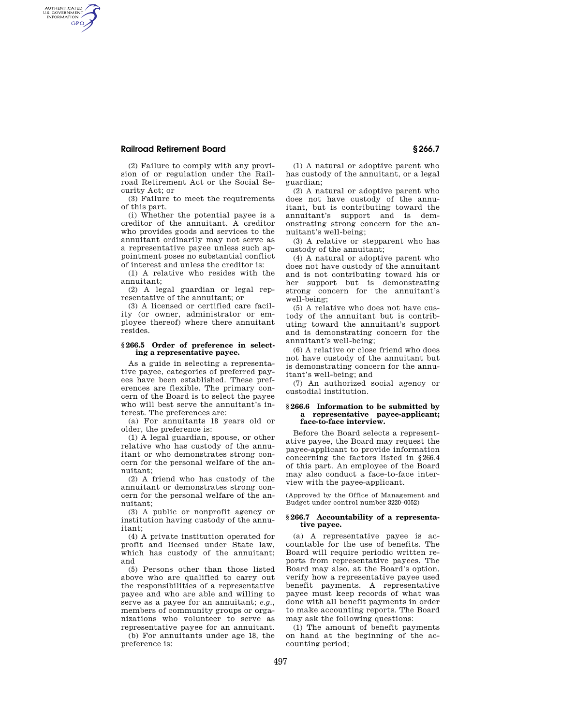# **Railroad Retirement Board § 266.7**

AUTHENTICATED<br>U.S. GOVERNMENT<br>INFORMATION **GPO** 

> (2) Failure to comply with any provision of or regulation under the Railroad Retirement Act or the Social Security Act; or

> (3) Failure to meet the requirements of this part.

> (i) Whether the potential payee is a creditor of the annuitant. A creditor who provides goods and services to the annuitant ordinarily may not serve as a representative payee unless such appointment poses no substantial conflict of interest and unless the creditor is:

(1) A relative who resides with the annuitant;

(2) A legal guardian or legal representative of the annuitant; or

(3) A licensed or certified care facility (or owner, administrator or employee thereof) where there annuitant resides.

## **§ 266.5 Order of preference in selecting a representative payee.**

As a guide in selecting a representative payee, categories of preferred payees have been established. These preferences are flexible. The primary concern of the Board is to select the payee who will best serve the annuitant's interest. The preferences are:

(a) For annuitants 18 years old or older, the preference is:

(1) A legal guardian, spouse, or other relative who has custody of the annuitant or who demonstrates strong concern for the personal welfare of the annuitant;

(2) A friend who has custody of the annuitant or demonstrates strong concern for the personal welfare of the annuitant;

(3) A public or nonprofit agency or institution having custody of the annuitant;

(4) A private institution operated for profit and licensed under State law, which has custody of the annuitant; and

(5) Persons other than those listed above who are qualified to carry out the responsibilities of a representative payee and who are able and willing to serve as a payee for an annuitant; *e.g.,*  members of community groups or organizations who volunteer to serve as representative payee for an annuitant.

(b) For annuitants under age 18, the preference is:

(1) A natural or adoptive parent who has custody of the annuitant, or a legal guardian;

(2) A natural or adoptive parent who does not have custody of the annuitant, but is contributing toward the annuitant's support and is demonstrating strong concern for the annuitant's well-being;

(3) A relative or stepparent who has custody of the annuitant;

(4) A natural or adoptive parent who does not have custody of the annuitant and is not contributing toward his or her support but is demonstrating strong concern for the annuitant's well-being;

(5) A relative who does not have custody of the annuitant but is contributing toward the annuitant's support and is demonstrating concern for the annuitant's well-being;

(6) A relative or close friend who does not have custody of the annuitant but is demonstrating concern for the annuitant's well-being; and

(7) An authorized social agency or custodial institution.

#### **§ 266.6 Information to be submitted by a representative payee-applicant; face-to-face interview.**

Before the Board selects a representative payee, the Board may request the payee-applicant to provide information concerning the factors listed in §266.4 of this part. An employee of the Board may also conduct a face-to-face interview with the payee-applicant.

(Approved by the Office of Management and Budget under control number 3220–0052)

## **§ 266.7 Accountability of a representative payee.**

(a) A representative payee is accountable for the use of benefits. The Board will require periodic written reports from representative payees. The Board may also, at the Board's option, verify how a representative payee used benefit payments. A representative payee must keep records of what was done with all benefit payments in order to make accounting reports. The Board may ask the following questions:

(1) The amount of benefit payments on hand at the beginning of the accounting period;